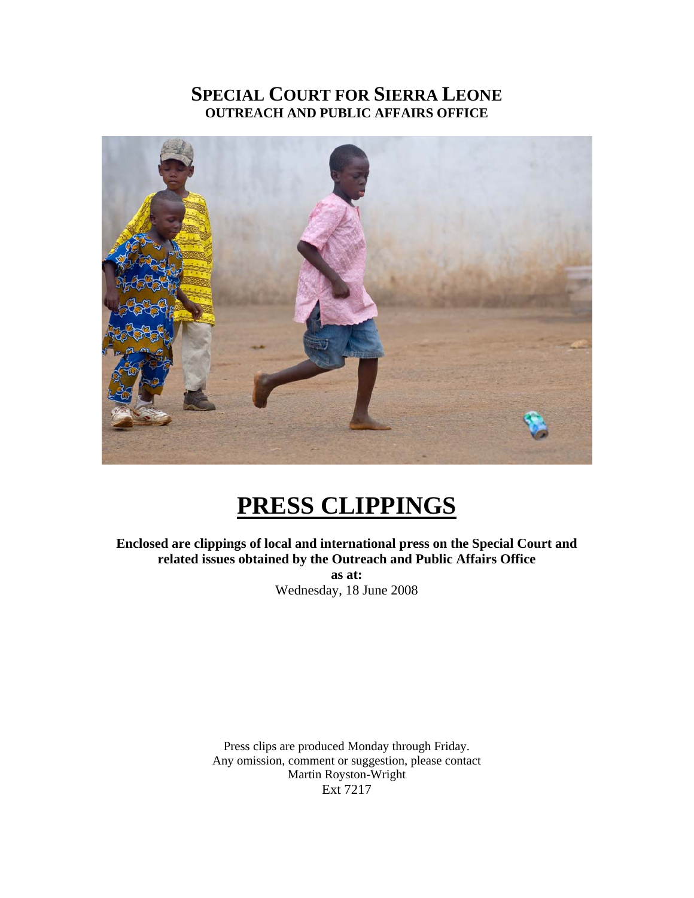## **SPECIAL COURT FOR SIERRA LEONE OUTREACH AND PUBLIC AFFAIRS OFFICE**



## **PRESS CLIPPINGS**

**Enclosed are clippings of local and international press on the Special Court and related issues obtained by the Outreach and Public Affairs Office as at:**  Wednesday, 18 June 2008

> Press clips are produced Monday through Friday. Any omission, comment or suggestion, please contact Martin Royston-Wright Ext 7217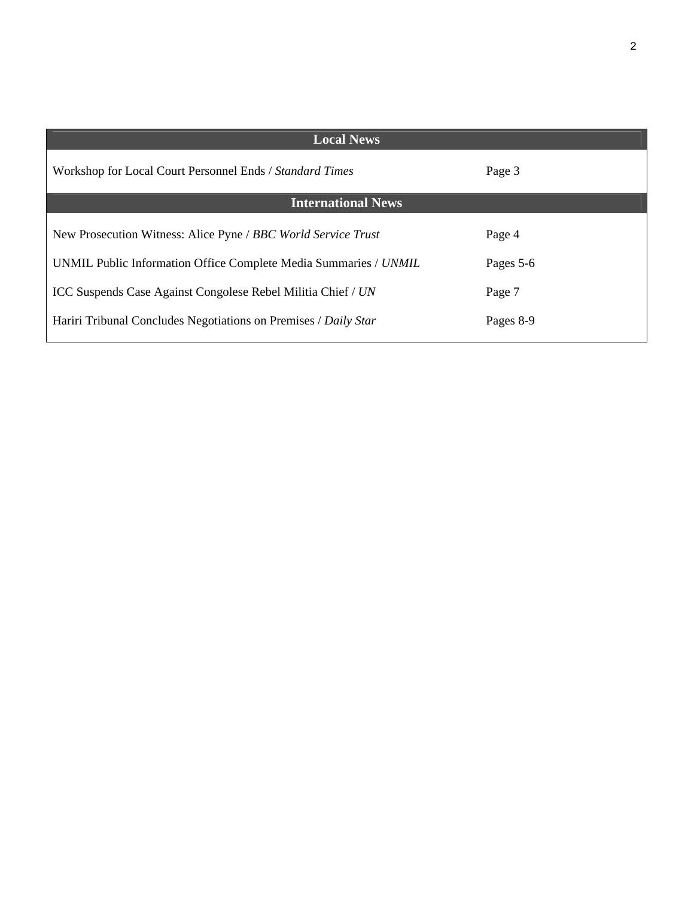| <b>Local News</b>                                                |           |
|------------------------------------------------------------------|-----------|
| Workshop for Local Court Personnel Ends / Standard Times         | Page 3    |
| <b>International News</b>                                        |           |
| New Prosecution Witness: Alice Pyne / BBC World Service Trust    | Page 4    |
| UNMIL Public Information Office Complete Media Summaries / UNMIL | Pages 5-6 |
| ICC Suspends Case Against Congolese Rebel Militia Chief / UN     | Page 7    |
| Hariri Tribunal Concludes Negotiations on Premises / Daily Star  | Pages 8-9 |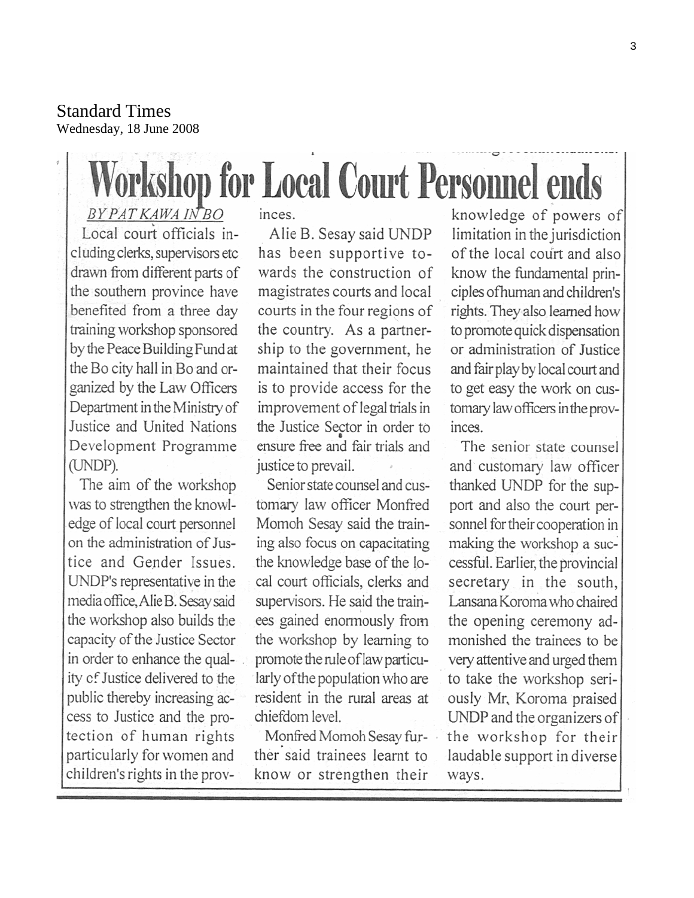Standard Times Wednesday, 18 June 2008

# **Workshop for Local Court Personnel ends**

**BYPATKAWAINBO** Local court officials including clerks, supervisors etc drawn from different parts of the southern province have benefited from a three day training workshop sponsored by the Peace Building Fund at the Bo city hall in Bo and organized by the Law Officers Department in the Ministry of Justice and United Nations Development Programme (UNDP).

The aim of the workshop was to strengthen the knowledge of local court personnel on the administration of Justice and Gender Issues. UNDP's representative in the media office, Alie B. Sesay said the workshop also builds the capacity of the Justice Sector in order to enhance the quality of Justice delivered to the public thereby increasing access to Justice and the protection of human rights particularly for women and children's rights in the prov-

#### inces.

Alie B. Sesay said UNDP has been supportive towards the construction of magistrates courts and local courts in the four regions of the country. As a partnership to the government, he maintained that their focus is to provide access for the improvement of legal trials in the Justice Sector in order to ensure free and fair trials and justice to prevail.

Senior state counsel and customary law officer Monfred Momoh Sesay said the training also focus on capacitating the knowledge base of the local court officials, clerks and supervisors. He said the trainees gained enormously from the workshop by learning to promote the rule of law particularly of the population who are resident in the rural areas at chiefdom level.

Monfred Momoh Sesay further said trainees learnt to know or strengthen their

knowledge of powers of limitation in the jurisdiction of the local court and also know the fundamental principles of human and children's rights. They also learned how to promote quick dispensation or administration of Justice and fair play by local court and to get easy the work on customary law officers in the provinces.

The senior state counsel and customary law officer thanked UNDP for the support and also the court personnel for their cooperation in making the workshop a successful. Earlier, the provincial secretary in the south, Lansana Koroma who chaired the opening ceremony admonished the trainees to be very attentive and urged them to take the workshop seriously Mr, Koroma praised UNDP and the organizers of the workshop for their laudable support in diverse ways.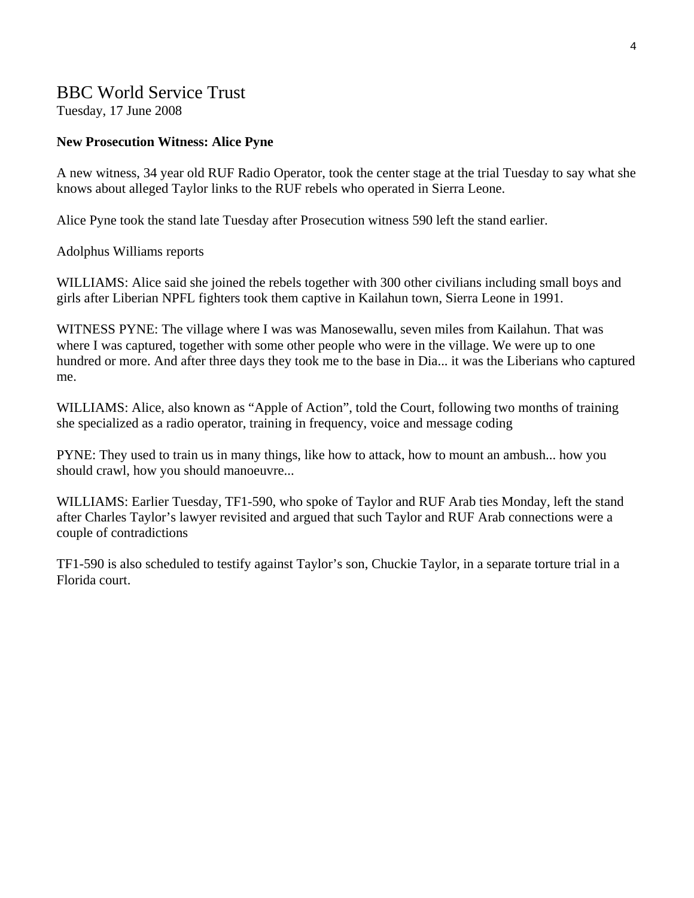#### BBC World Service Trust

Tuesday, 17 June 2008

#### **New Prosecution Witness: Alice Pyne**

A new witness, 34 year old RUF Radio Operator, took the center stage at the trial Tuesday to say what she knows about alleged Taylor links to the RUF rebels who operated in Sierra Leone.

Alice Pyne took the stand late Tuesday after Prosecution witness 590 left the stand earlier.

Adolphus Williams reports

WILLIAMS: Alice said she joined the rebels together with 300 other civilians including small boys and girls after Liberian NPFL fighters took them captive in Kailahun town, Sierra Leone in 1991.

WITNESS PYNE: The village where I was was Manosewallu, seven miles from Kailahun. That was where I was captured, together with some other people who were in the village. We were up to one hundred or more. And after three days they took me to the base in Dia... it was the Liberians who captured me.

WILLIAMS: Alice, also known as "Apple of Action", told the Court, following two months of training she specialized as a radio operator, training in frequency, voice and message coding

PYNE: They used to train us in many things, like how to attack, how to mount an ambush... how you should crawl, how you should manoeuvre...

WILLIAMS: Earlier Tuesday, TF1-590, who spoke of Taylor and RUF Arab ties Monday, left the stand after Charles Taylor's lawyer revisited and argued that such Taylor and RUF Arab connections were a couple of contradictions

TF1-590 is also scheduled to testify against Taylor's son, Chuckie Taylor, in a separate torture trial in a Florida court.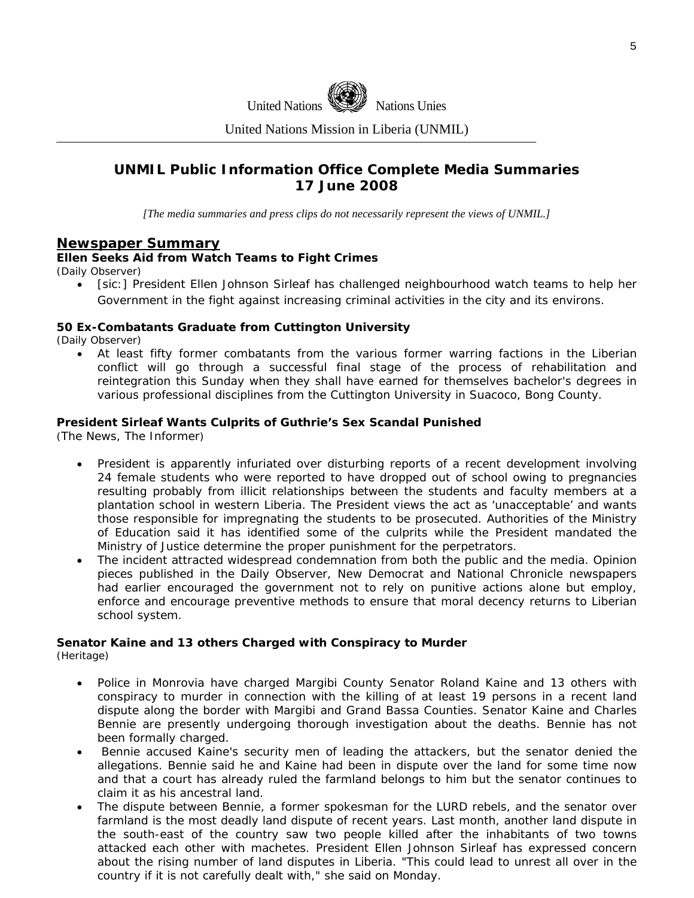

United Nations Mission in Liberia (UNMIL)

#### **UNMIL Public Information Office Complete Media Summaries 17 June 2008**

*[The media summaries and press clips do not necessarily represent the views of UNMIL.]* 

#### **Newspaper Summary**

#### **Ellen Seeks Aid from Watch Teams to Fight Crimes**

(Daily Observer)

• [sic:] President Ellen Johnson Sirleaf has challenged neighbourhood watch teams to help her Government in the fight against increasing criminal activities in the city and its environs.

#### **50 Ex-Combatants Graduate from Cuttington University**

(Daily Observer)

• At least fifty former combatants from the various former warring factions in the Liberian conflict will go through a successful final stage of the process of rehabilitation and reintegration this Sunday when they shall have earned for themselves bachelor's degrees in various professional disciplines from the Cuttington University in Suacoco, Bong County.

#### **President Sirleaf Wants Culprits of Guthrie's Sex Scandal Punished**

(The News, The Informer)

- President is apparently infuriated over disturbing reports of a recent development involving 24 female students who were reported to have dropped out of school owing to pregnancies resulting probably from illicit relationships between the students and faculty members at a plantation school in western Liberia. The President views the act as 'unacceptable' and wants those responsible for impregnating the students to be prosecuted. Authorities of the Ministry of Education said it has identified some of the culprits while the President mandated the Ministry of Justice determine the proper punishment for the perpetrators.
- The incident attracted widespread condemnation from both the public and the media. Opinion pieces published in the Daily Observer, New Democrat and National Chronicle newspapers had earlier encouraged the government not to rely on punitive actions alone but employ, enforce and encourage preventive methods to ensure that moral decency returns to Liberian school system.

#### **Senator Kaine and 13 others Charged with Conspiracy to Murder**

(Heritage)

- Police in Monrovia have charged Margibi County Senator Roland Kaine and 13 others with conspiracy to murder in connection with the killing of at least 19 persons in a recent land dispute along the border with Margibi and Grand Bassa Counties. Senator Kaine and Charles Bennie are presently undergoing thorough investigation about the deaths. Bennie has not been formally charged.
- Bennie accused Kaine's security men of leading the attackers, but the senator denied the allegations. Bennie said he and Kaine had been in dispute over the land for some time now and that a court has already ruled the farmland belongs to him but the senator continues to claim it as his ancestral land.
- The dispute between Bennie, a former spokesman for the LURD rebels, and the senator over farmland is the most deadly land dispute of recent years. Last month, another land dispute in the south-east of the country saw two people killed after the inhabitants of two towns attacked each other with machetes. President Ellen Johnson Sirleaf has expressed concern about the rising number of land disputes in Liberia. "This could lead to unrest all over in the country if it is not carefully dealt with," she said on Monday.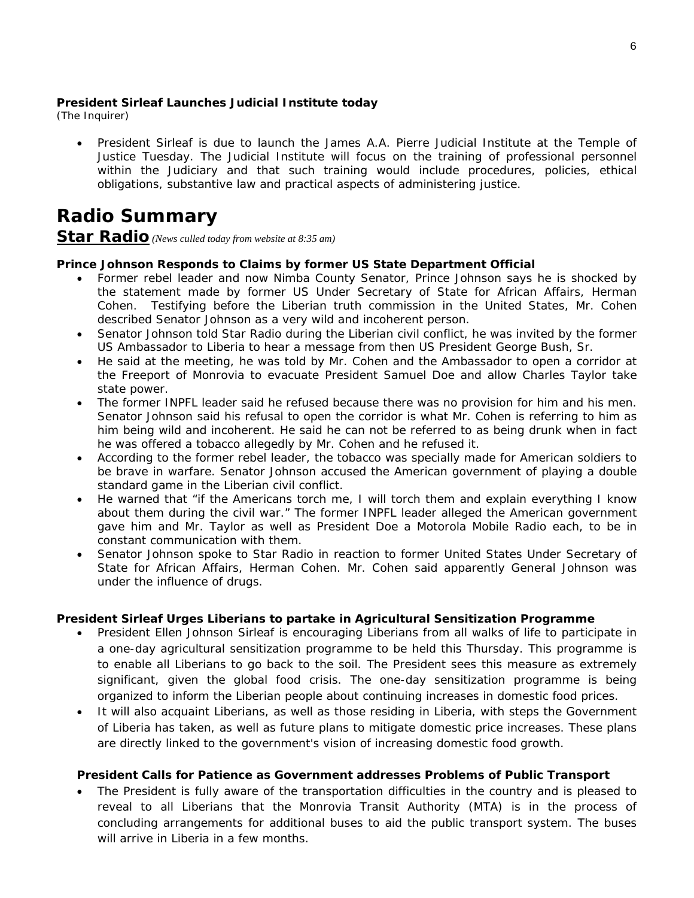#### **President Sirleaf Launches Judicial Institute today**

(The Inquirer)

• President Sirleaf is due to launch the James A.A. Pierre Judicial Institute at the Temple of Justice Tuesday. The Judicial Institute will focus on the training of professional personnel within the Judiciary and that such training would include procedures, policies, ethical obligations, substantive law and practical aspects of administering justice.

## **Radio Summary**

#### **Star Radio** *(News culled today from website at 8:35 am)*

#### **Prince Johnson Responds to Claims by former US State Department Official**

- Former rebel leader and now Nimba County Senator, Prince Johnson says he is shocked by the statement made by former US Under Secretary of State for African Affairs, Herman Cohen. Testifying before the Liberian truth commission in the United States, Mr. Cohen described Senator Johnson as a very wild and incoherent person.
- Senator Johnson told Star Radio during the Liberian civil conflict, he was invited by the former US Ambassador to Liberia to hear a message from then US President George Bush, Sr.
- He said at the meeting, he was told by Mr. Cohen and the Ambassador to open a corridor at the Freeport of Monrovia to evacuate President Samuel Doe and allow Charles Taylor take state power.
- The former INPFL leader said he refused because there was no provision for him and his men. Senator Johnson said his refusal to open the corridor is what Mr. Cohen is referring to him as him being wild and incoherent. He said he can not be referred to as being drunk when in fact he was offered a tobacco allegedly by Mr. Cohen and he refused it.
- According to the former rebel leader, the tobacco was specially made for American soldiers to be brave in warfare. Senator Johnson accused the American government of playing a double standard game in the Liberian civil conflict.
- He warned that "if the Americans torch me, I will torch them and explain everything I know about them during the civil war." The former INPFL leader alleged the American government gave him and Mr. Taylor as well as President Doe a Motorola Mobile Radio each, to be in constant communication with them.
- Senator Johnson spoke to Star Radio in reaction to former United States Under Secretary of State for African Affairs, Herman Cohen. Mr. Cohen said apparently General Johnson was under the influence of drugs.

#### **President Sirleaf Urges Liberians to partake in Agricultural Sensitization Programme**

- President Ellen Johnson Sirleaf is encouraging Liberians from all walks of life to participate in a one-day agricultural sensitization programme to be held this Thursday. This programme is to enable all Liberians to go back to the soil. The President sees this measure as extremely significant, given the global food crisis. The one-day sensitization programme is being organized to inform the Liberian people about continuing increases in domestic food prices.
- It will also acquaint Liberians, as well as those residing in Liberia, with steps the Government of Liberia has taken, as well as future plans to mitigate domestic price increases. These plans are directly linked to the government's vision of increasing domestic food growth.

#### **President Calls for Patience as Government addresses Problems of Public Transport**

• The President is fully aware of the transportation difficulties in the country and is pleased to reveal to all Liberians that the Monrovia Transit Authority (MTA) is in the process of concluding arrangements for additional buses to aid the public transport system. The buses will arrive in Liberia in a few months.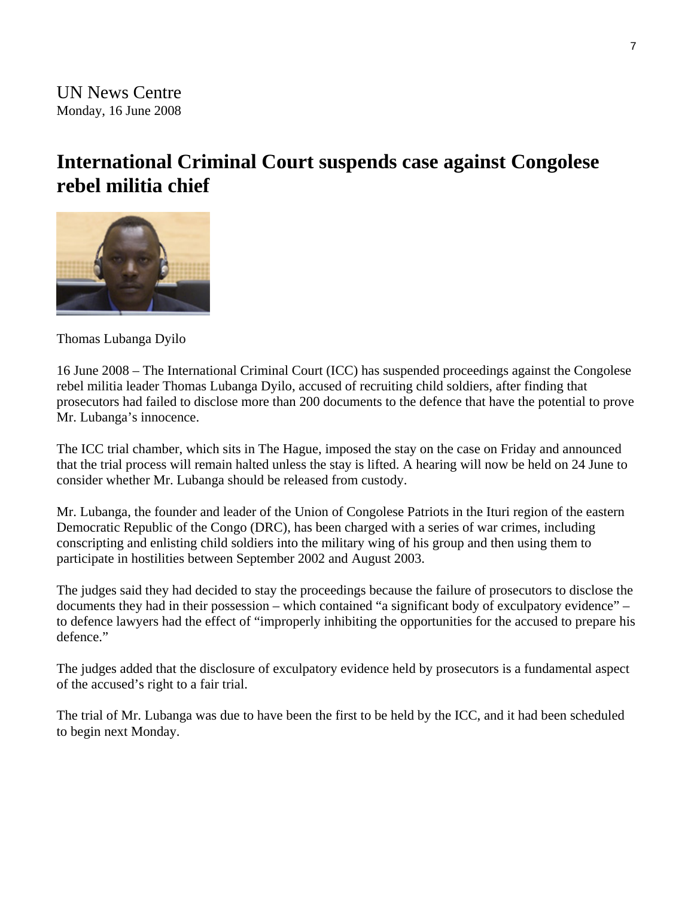## **International Criminal Court suspends case against Congolese rebel militia chief**



Thomas Lubanga Dyilo

16 June 2008 – The International Criminal Court (ICC) has suspended proceedings against the Congolese rebel militia leader Thomas Lubanga Dyilo, accused of recruiting child soldiers, after finding that prosecutors had failed to disclose more than 200 documents to the defence that have the potential to prove Mr. Lubanga's innocence.

The ICC trial chamber, which sits in The Hague, imposed the stay on the case on Friday and announced that the trial process will remain halted unless the stay is lifted. A hearing will now be held on 24 June to consider whether Mr. Lubanga should be released from custody.

Mr. Lubanga, the founder and leader of the Union of Congolese Patriots in the Ituri region of the eastern Democratic Republic of the Congo (DRC), has been charged with a series of war crimes, including conscripting and enlisting child soldiers into the military wing of his group and then using them to participate in hostilities between September 2002 and August 2003.

The judges said they had decided to stay the proceedings because the failure of prosecutors to disclose the documents they had in their possession – which contained "a significant body of exculpatory evidence" – to defence lawyers had the effect of "improperly inhibiting the opportunities for the accused to prepare his defence."

The judges added that the disclosure of exculpatory evidence held by prosecutors is a fundamental aspect of the accused's right to a fair trial.

The trial of Mr. Lubanga was due to have been the first to be held by the ICC, and it had been scheduled to begin next Monday.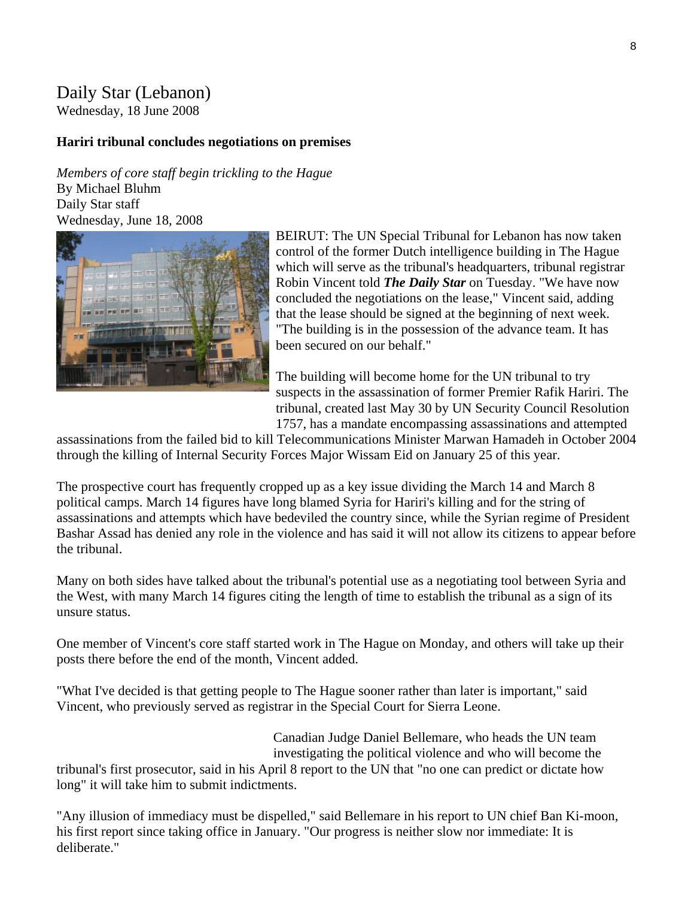### Daily Star (Lebanon)

Wednesday, 18 June 2008

#### **Hariri tribunal concludes negotiations on premises**

*Members of core staff begin trickling to the Hague* By Michael Bluhm Daily Star staff Wednesday, June 18, 2008



BEIRUT: The UN Special Tribunal for Lebanon has now taken control of the former Dutch intelligence building in The Hague which will serve as the tribunal's headquarters, tribunal registrar Robin Vincent told *The Daily Star* on Tuesday. "We have now concluded the negotiations on the lease," Vincent said, adding that the lease should be signed at the beginning of next week. "The building is in the possession of the advance team. It has been secured on our behalf."

The building will become home for the UN tribunal to try suspects in the assassination of former Premier Rafik Hariri. The tribunal, created last May 30 by UN Security Council Resolution 1757, has a mandate encompassing assassinations and attempted

assassinations from the failed bid to kill Telecommunications Minister Marwan Hamadeh in October 2004 through the killing of Internal Security Forces Major Wissam Eid on January 25 of this year.

The prospective court has frequently cropped up as a key issue dividing the March 14 and March 8 political camps. March 14 figures have long blamed Syria for Hariri's killing and for the string of assassinations and attempts which have bedeviled the country since, while the Syrian regime of President Bashar Assad has denied any role in the violence and has said it will not allow its citizens to appear before the tribunal.

Many on both sides have talked about the tribunal's potential use as a negotiating tool between Syria and the West, with many March 14 figures citing the length of time to establish the tribunal as a sign of its unsure status.

One member of Vincent's core staff started work in The Hague on Monday, and others will take up their posts there before the end of the month, Vincent added.

"What I've decided is that getting people to The Hague sooner rather than later is important," said Vincent, who previously served as registrar in the Special Court for Sierra Leone.

> Canadian Judge Daniel Bellemare, who heads the UN team investigating the political violence and who will become the

tribunal's first prosecutor, said in his April 8 report to the UN that "no one can predict or dictate how long" it will take him to submit indictments.

"Any illusion of immediacy must be dispelled," said Bellemare in his report to UN chief Ban Ki-moon, his first report since taking office in January. "Our progress is neither slow nor immediate: It is deliberate."